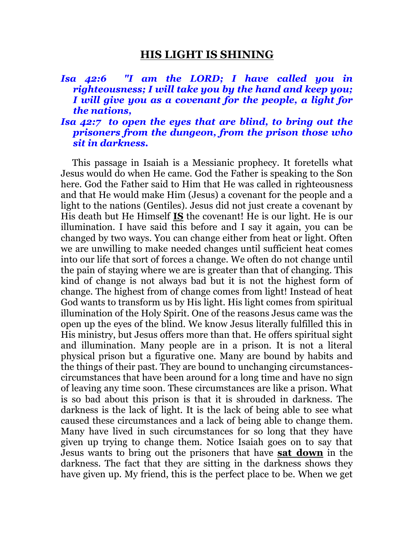## **HIS LIGHT IS SHINING**

## *Isa 42:6 "I am the LORD; I have called you in righteousness; I will take you by the hand and keep you; I will give you as a covenant for the people, a light for the nations,*

## *Isa 42:7 to open the eyes that are blind, to bring out the prisoners from the dungeon, from the prison those who sit in darkness.*

 This passage in Isaiah is a Messianic prophecy. It foretells what Jesus would do when He came. God the Father is speaking to the Son here. God the Father said to Him that He was called in righteousness and that He would make Him (Jesus) a covenant for the people and a light to the nations (Gentiles). Jesus did not just create a covenant by His death but He Himself **IS** the covenant! He is our light. He is our illumination. I have said this before and I say it again, you can be changed by two ways. You can change either from heat or light. Often we are unwilling to make needed changes until sufficient heat comes into our life that sort of forces a change. We often do not change until the pain of staying where we are is greater than that of changing. This kind of change is not always bad but it is not the highest form of change. The highest from of change comes from light! Instead of heat God wants to transform us by His light. His light comes from spiritual illumination of the Holy Spirit. One of the reasons Jesus came was the open up the eyes of the blind. We know Jesus literally fulfilled this in His ministry, but Jesus offers more than that. He offers spiritual sight and illumination. Many people are in a prison. It is not a literal physical prison but a figurative one. Many are bound by habits and the things of their past. They are bound to unchanging circumstancescircumstances that have been around for a long time and have no sign of leaving any time soon. These circumstances are like a prison. What is so bad about this prison is that it is shrouded in darkness. The darkness is the lack of light. It is the lack of being able to see what caused these circumstances and a lack of being able to change them. Many have lived in such circumstances for so long that they have given up trying to change them. Notice Isaiah goes on to say that Jesus wants to bring out the prisoners that have **sat down** in the darkness. The fact that they are sitting in the darkness shows they have given up. My friend, this is the perfect place to be. When we get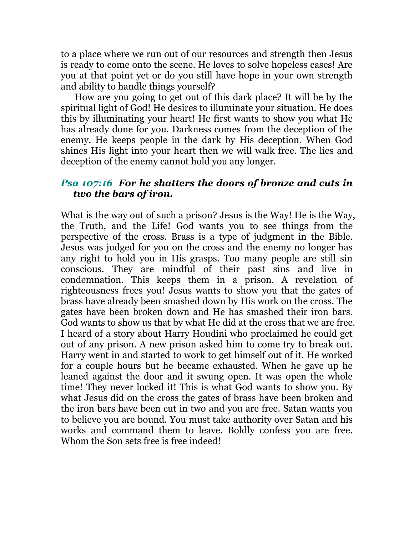to a place where we run out of our resources and strength then Jesus is ready to come onto the scene. He loves to solve hopeless cases! Are you at that point yet or do you still have hope in your own strength and ability to handle things yourself?

 How are you going to get out of this dark place? It will be by the spiritual light of God! He desires to illuminate your situation. He does this by illuminating your heart! He first wants to show you what He has already done for you. Darkness comes from the deception of the enemy. He keeps people in the dark by His deception. When God shines His light into your heart then we will walk free. The lies and deception of the enemy cannot hold you any longer.

## *Psa 107:16 For he shatters the doors of bronze and cuts in two the bars of iron.*

What is the way out of such a prison? Jesus is the Way! He is the Way, the Truth, and the Life! God wants you to see things from the perspective of the cross. Brass is a type of judgment in the Bible. Jesus was judged for you on the cross and the enemy no longer has any right to hold you in His grasps. Too many people are still sin conscious. They are mindful of their past sins and live in condemnation. This keeps them in a prison. A revelation of righteousness frees you! Jesus wants to show you that the gates of brass have already been smashed down by His work on the cross. The gates have been broken down and He has smashed their iron bars. God wants to show us that by what He did at the cross that we are free. I heard of a story about Harry Houdini who proclaimed he could get out of any prison. A new prison asked him to come try to break out. Harry went in and started to work to get himself out of it. He worked for a couple hours but he became exhausted. When he gave up he leaned against the door and it swung open. It was open the whole time! They never locked it! This is what God wants to show you. By what Jesus did on the cross the gates of brass have been broken and the iron bars have been cut in two and you are free. Satan wants you to believe you are bound. You must take authority over Satan and his works and command them to leave. Boldly confess you are free. Whom the Son sets free is free indeed!